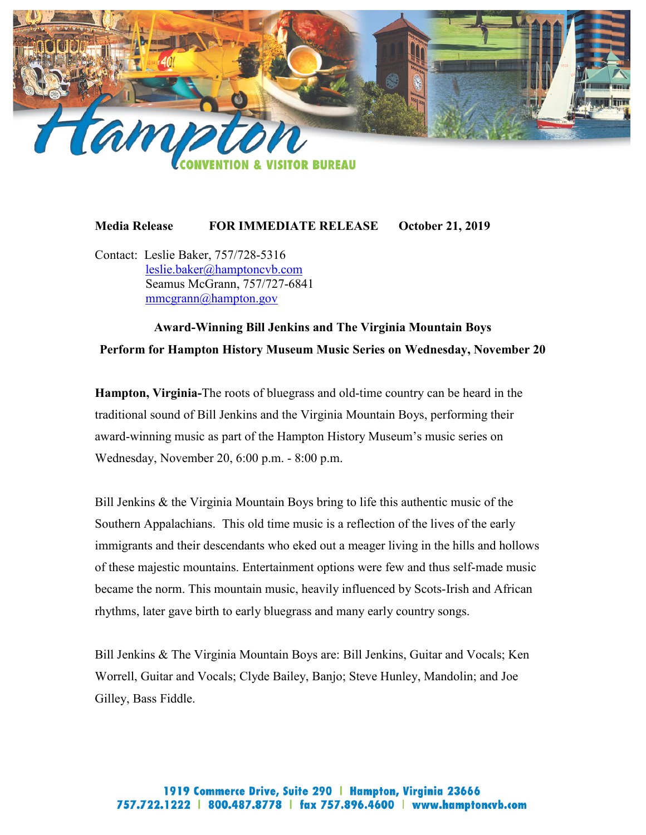

#### **Media Release FOR IMMEDIATE RELEASE October 21, 2019**

Contact: Leslie Baker, 757/728-5316 [leslie.baker@hamptoncvb.com](mailto:leslie.baker@hamptoncvb.com) Seamus McGrann, 757/727-6841 [mmcgrann@hampton.gov](mailto:mmcgrann@hampton.gov)

# **Award-Winning Bill Jenkins and The Virginia Mountain Boys Perform for Hampton History Museum Music Series on Wednesday, November 20**

**Hampton, Virginia-**The roots of bluegrass and old-time country can be heard in the traditional sound of Bill Jenkins and the Virginia Mountain Boys, performing their award-winning music as part of the Hampton History Museum's music series on Wednesday, November 20, 6:00 p.m. - 8:00 p.m.

Bill Jenkins & the Virginia Mountain Boys bring to life this authentic music of the Southern Appalachians. This old time music is a reflection of the lives of the early immigrants and their descendants who eked out a meager living in the hills and hollows of these majestic mountains. Entertainment options were few and thus self-made music became the norm. This mountain music, heavily influenced by Scots-Irish and African rhythms, later gave birth to early bluegrass and many early country songs.

Bill Jenkins & The Virginia Mountain Boys are: Bill Jenkins, Guitar and Vocals; Ken Worrell, Guitar and Vocals; Clyde Bailey, Banjo; Steve Hunley, Mandolin; and Joe Gilley, Bass Fiddle.

## 1919 Commerce Drive, Suite 290 | Hampton, Virginia 23666 757.722.1222 | 800.487.8778 | fax 757.896.4600 | www.hamptoncvb.com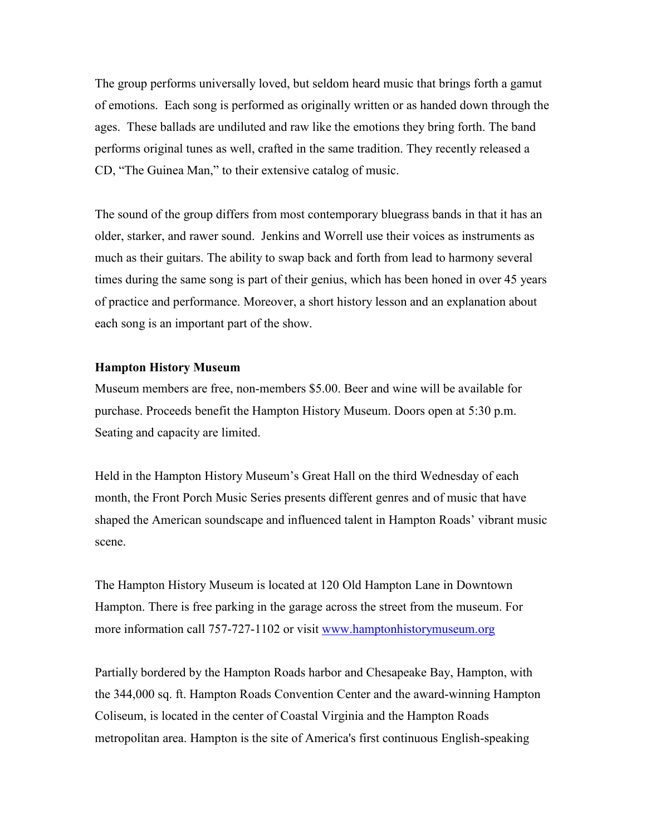The group performs universally loved, but seldom heard music that brings forth a gamut of emotions. Each song is performed as originally written or as handed down through the ages. These ballads are undiluted and raw like the emotions they bring forth. The band performs original tunes as well, crafted in the same tradition. They recently released a CD, "The Guinea Man," to their extensive catalog of music.

The sound of the group differs from most contemporary bluegrass bands in that it has an older, starker, and rawer sound. Jenkins and Worrell use their voices as instruments as much as their guitars. The ability to swap back and forth from lead to harmony several times during the same song is part of their genius, which has been honed in over 45 years of practice and performance. Moreover, a short history lesson and an explanation about each song is an important part of the show.

## **Hampton History Museum**

Museum members are free, non-members \$5.00. Beer and wine will be available for purchase. Proceeds benefit the Hampton History Museum. Doors open at 5:30 p.m. Seating and capacity are limited.

Held in the Hampton History Museum's Great Hall on the third Wednesday of each month, the Front Porch Music Series presents different genres and of music that have shaped the American soundscape and influenced talent in Hampton Roads' vibrant music scene.

The Hampton History Museum is located at 120 Old Hampton Lane in Downtown Hampton. There is free parking in the garage across the street from the museum. For more information call 757-727-1102 or visit [www.hamptonhistorymuseum.org](http://www.hamptonhistorymuseum.org/)

Partially bordered by the Hampton Roads harbor and Chesapeake Bay, Hampton, with the 344,000 sq. ft. Hampton Roads Convention Center and the award-winning Hampton Coliseum, is located in the center of Coastal Virginia and the Hampton Roads metropolitan area. Hampton is the site of America's first continuous English-speaking